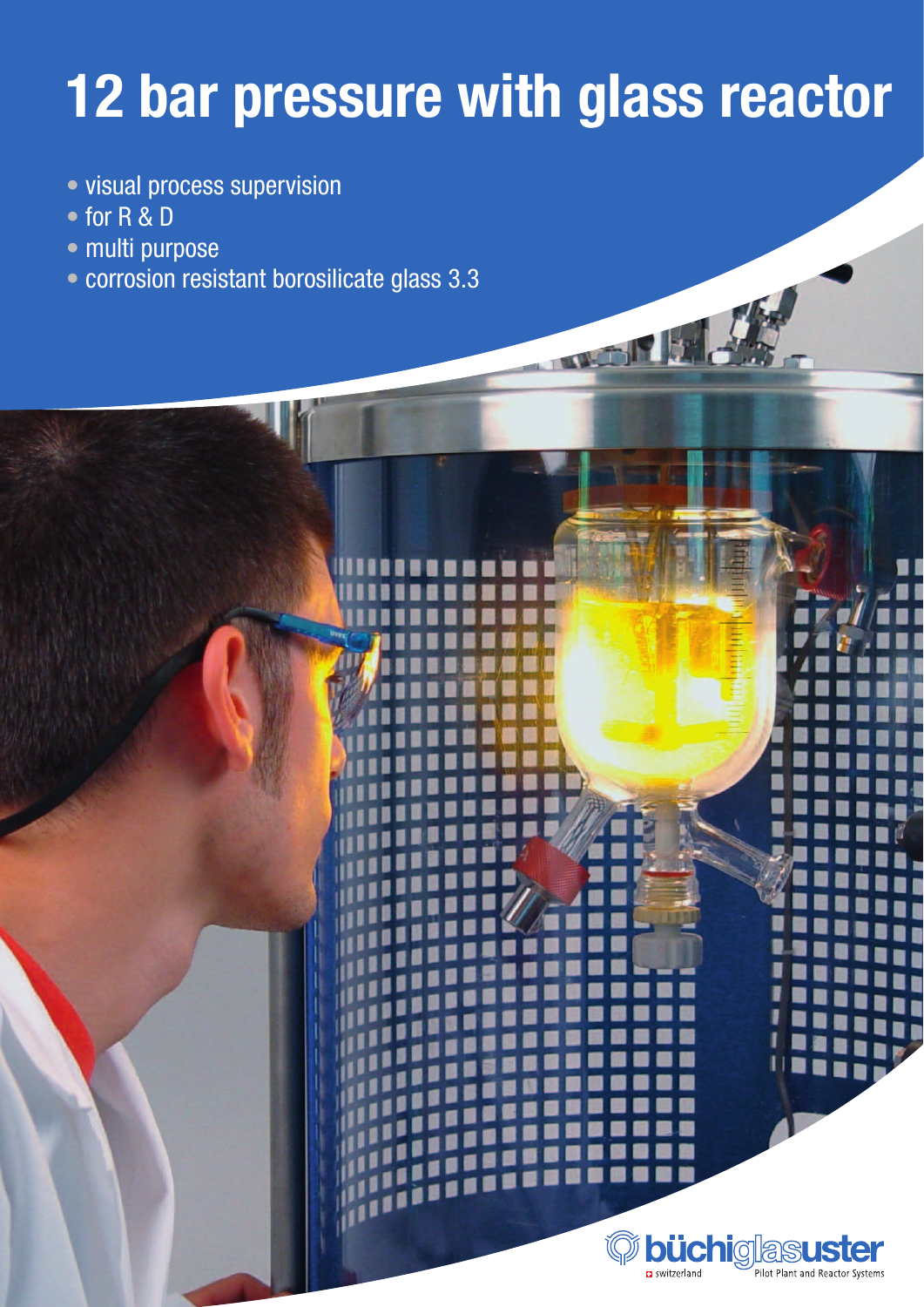## **12 bar pressure with glass reactor**

- visual process supervision
- for R & D
- multi purpose
- corrosion resistant borosilicate glass 3.3